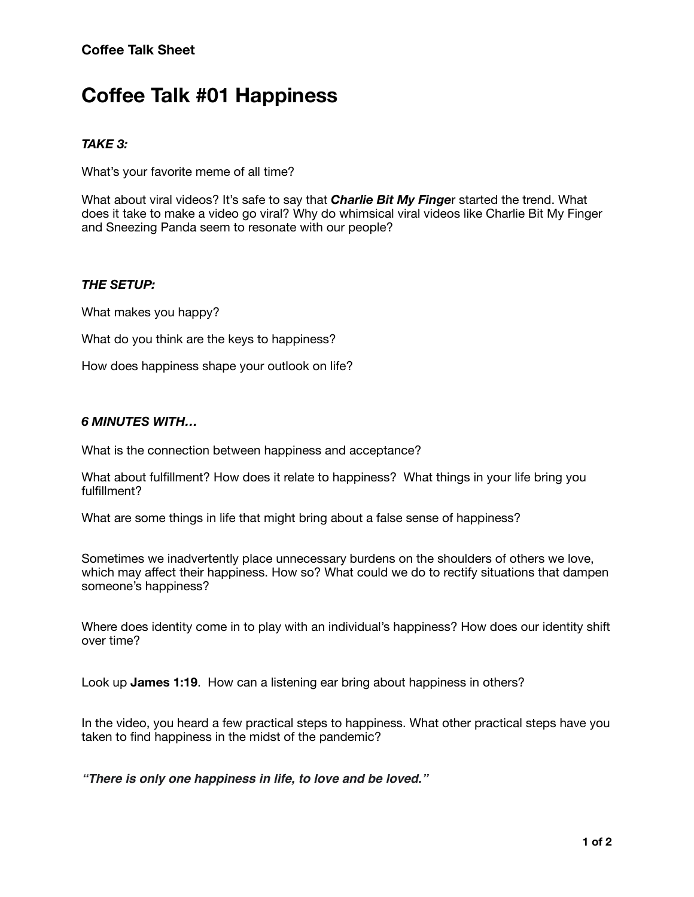# **Coffee Talk #01 Happiness**

# *TAKE 3:*

What's your favorite meme of all time?

What about viral videos? It's safe to say that *Charlie Bit My Finge*r started the trend. What does it take to make a video go viral? Why do whimsical viral videos like Charlie Bit My Finger and Sneezing Panda seem to resonate with our people?

# *THE SETUP:*

What makes you happy?

What do you think are the keys to happiness?

How does happiness shape your outlook on life?

### *6 MINUTES WITH…*

What is the connection between happiness and acceptance?

What about fulfillment? How does it relate to happiness? What things in your life bring you fulfillment?

What are some things in life that might bring about a false sense of happiness?

Sometimes we inadvertently place unnecessary burdens on the shoulders of others we love, which may affect their happiness. How so? What could we do to rectify situations that dampen someone's happiness?

Where does identity come in to play with an individual's happiness? How does our identity shift over time?

Look up **James 1:19**. How can a listening ear bring about happiness in others?

In the video, you heard a few practical steps to happiness. What other practical steps have you taken to find happiness in the midst of the pandemic?

*"There is only one happiness in life, to love and be loved."*